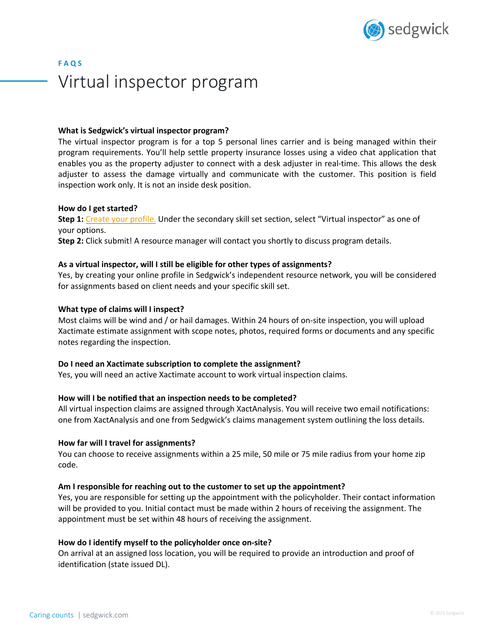

# **F A Q S** Virtual inspector program

## **What is Sedgwick's virtual inspector program?**

The virtual inspector program is for a top 5 personal lines carrier and is being managed within their program requirements. You'll help settle property insurance losses using a video chat application that enables you as the property adjuster to connect with a desk adjuster in real-time. This allows the desk adjuster to assess the damage virtually and communicate with the customer. This position is field inspection work only. It is not an inside desk position.

## **How do I get started?**

**Step 1:** Create your profile. Under the secondary skill set section, select "Virtual inspector" as one of your options.

**Step 2:** Click submit! A resource manager will contact you shortly to discuss program details.

# **As a virtual inspector, will I still be eligible for other types of assignments?**

Yes, by creating your online profile in Sedgwick's independent resource network, you will be considered for assignments based on client needs and your specific skill set.

# **What type of claims will I inspect?**

Most claims will be wind and / or hail damages. Within 24 hours of on-site inspection, you will upload Xactimate estimate assignment with scope notes, photos, required forms or documents and any specific notes regarding the inspection.

## **Do I need an Xactimate subscription to complete the assignment?**

Yes, you will need an active Xactimate account to work virtual inspection claims.

# **How will I be notified that an inspection needs to be completed?**

All virtual inspection claims are assigned through XactAnalysis. You will receive two email notifications: one from XactAnalysis and one from Sedgwick's claims management system outlining the loss details.

## **How far will I travel for assignments?**

You can choose to receive assignments within a 25 mile, 50 mile or 75 mile radius from your home zip code.

## **Am I responsible for reaching out to the customer to set up the appointment?**

Yes, you are responsible for setting up the appointment with the policyholder. Their contact information will be provided to you. Initial contact must be made within 2 hours of receiving the assignment. The appointment must be set within 48 hours of receiving the assignment.

## **How do I identify myself to the policyholder once on-site?**

On arrival at an assigned loss location, you will be required to provide an introduction and proof of identification (state issued DL).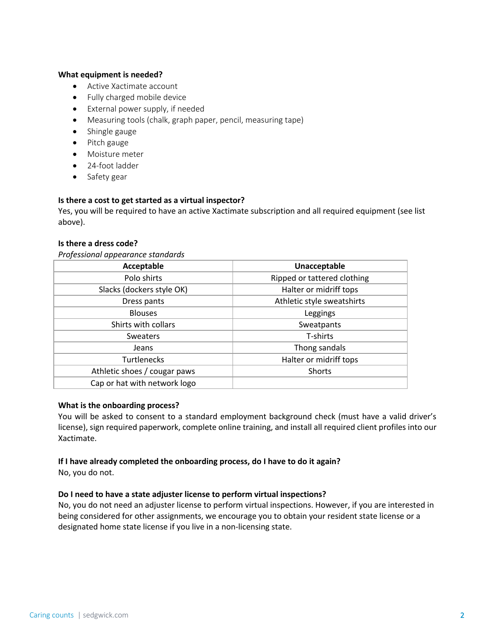# **What equipment is needed?**

- Active Xactimate account
- Fully charged mobile device
- External power supply, if needed
- Measuring tools (chalk, graph paper, pencil, measuring tape)
- Shingle gauge
- Pitch gauge
- Moisture meter
- 24-foot ladder
- Safety gear

## **Is there a cost to get started as a virtual inspector?**

Yes, you will be required to have an active Xactimate subscription and all required equipment (see list above).

## **Is there a dress code?**

*Professional appearance standards*

| Acceptable                   | Unacceptable                |
|------------------------------|-----------------------------|
| Polo shirts                  | Ripped or tattered clothing |
| Slacks (dockers style OK)    | Halter or midriff tops      |
| Dress pants                  | Athletic style sweatshirts  |
| <b>Blouses</b>               | Leggings                    |
| Shirts with collars          | Sweatpants                  |
| <b>Sweaters</b>              | T-shirts                    |
| Jeans                        | Thong sandals               |
| <b>Turtlenecks</b>           | Halter or midriff tops      |
| Athletic shoes / cougar paws | Shorts                      |
| Cap or hat with network logo |                             |

## **What is the onboarding process?**

You will be asked to consent to a standard employment background check (must have a valid driver's license), sign required paperwork, complete online training, and install all required client profiles into our Xactimate.

## **If I have already completed the onboarding process, do I have to do it again?**

No, you do not.

## **Do I need to have a state adjuster license to perform virtual inspections?**

No, you do not need an adjuster license to perform virtual inspections. However, if you are interested in being considered for other assignments, we encourage you to obtain your resident state license or a designated home state license if you live in a non-licensing state.